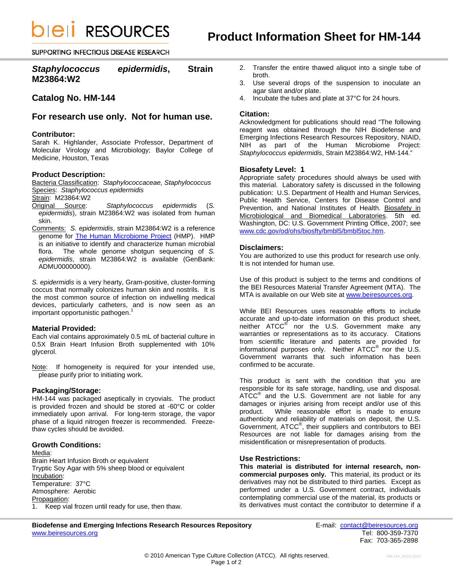**bieli RESOURCES** 

SUPPORTING INFECTIOUS DISEASE RESEARCH

# *Staphylococcus epidermidis***, Strain M23864:W2**

# **Catalog No. HM-144**

# **For research use only. Not for human use.**

#### **Contributor:**

Sarah K. Highlander, Associate Professor, Department of Molecular Virology and Microbiology; Baylor College of Medicine, Houston, Texas

#### **Product Description:**

Bacteria Classification: *Staphylococcaceae, Staphylococcus*  Species: *Staphylococcus epidermidis* 

Strain: M23864:W2

Original Source: *Staphylococcus epidermidis* (*S. epidermidis*), strain M23864:W2 was isolated from human skin.

Comments: *S. epidermidis*, strain M23864:W2 is a reference genome for [The Human Microbiome Project](http://nihroadmap.nih.gov/hmp/) (HMP). HMP is an initiative to identify and characterize human microbial flora. The whole genome shotgun sequencing of *S. epidermidis*, strain M23864:W2 is available (GenBank: ADMU00000000).

*S. epidermidis* is a very hearty, Gram-positive, cluster-forming coccus that normally colonizes human skin and nostrils. It is the most common source of infection on indwelling medical devices, particularly catheters, and is now seen as an important opportunistic pathogen.<sup>1</sup>

#### **Material Provided:**

Each vial contains approximately 0.5 mL of bacterial culture in 0.5X Brain Heart Infusion Broth supplemented with 10% glycerol.

Note: If homogeneity is required for your intended use, please purify prior to initiating work.

### **Packaging/Storage:**

HM-144 was packaged aseptically in cryovials. The product is provided frozen and should be stored at -60°C or colder immediately upon arrival. For long-term storage, the vapor phase of a liquid nitrogen freezer is recommended. Freezethaw cycles should be avoided.

#### **Growth Conditions:**

Media: Brain Heart Infusion Broth or equivalent Tryptic Soy Agar with 5% sheep blood or equivalent Incubation: Temperature: 37°C Atmosphere: Aerobic Propagation: 1. Keep vial frozen until ready for use, then thaw.

- 2. Transfer the entire thawed aliquot into a single tube of broth.
- 3. Use several drops of the suspension to inoculate an agar slant and/or plate.
- 4. Incubate the tubes and plate at 37°C for 24 hours.

### **Citation:**

Acknowledgment for publications should read "The following reagent was obtained through the NIH Biodefense and Emerging Infections Research Resources Repository, NIAID, NIH as part of the Human Microbiome Project: *Staphylococcus epidermidis*, Strain M23864:W2, HM-144."

#### **Biosafety Level: 1**

Appropriate safety procedures should always be used with this material. Laboratory safety is discussed in the following publication: U.S. Department of Health and Human Services, Public Health Service, Centers for Disease Control and Prevention, and National Institutes of Health. Biosafety in Microbiological and Biomedical Laboratories. 5th ed. Washington, DC: U.S. Government Printing Office, 2007; see [www.cdc.gov/od/ohs/biosfty/bmbl5/bmbl5toc.htm.](http://www.cdc.gov/od/ohs/biosfty/bmbl5/bmbl5toc.htm)

#### **Disclaimers:**

You are authorized to use this product for research use only. It is not intended for human use.

Use of this product is subject to the terms and conditions of the BEI Resources Material Transfer Agreement (MTA). The MTA is available on our Web site at [www.beiresources.org](http://www.beiresources.org/).

While BEI Resources uses reasonable efforts to include accurate and up-to-date information on this product sheet, neither ATCC<sup>®</sup> nor the U.S. Government make any warranties or representations as to its accuracy. Citations from scientific literature and patents are provided for informational purposes only. Neither  $\tt{ATCC}^{\circledR}$  nor the U.S. Government warrants that such information has been confirmed to be accurate.

This product is sent with the condition that you are responsible for its safe storage, handling, use and disposal. ATCC<sup>®</sup> and the U.S. Government are not liable for any damages or injuries arising from receipt and/or use of this product. While reasonable effort is made to ensure While reasonable effort is made to ensure authenticity and reliability of materials on deposit, the U.S. Government, ATCC® , their suppliers and contributors to BEI Resources are not liable for damages arising from the misidentification or misrepresentation of products.

#### **Use Restrictions:**

**This material is distributed for internal research, noncommercial purposes only.** This material, its product or its derivatives may not be distributed to third parties. Except as performed under a U.S. Government contract, individuals contemplating commercial use of the material, its products or its derivatives must contact the contributor to determine if a

**Biodefense and Emerging Infections Research Resources Repository E-mail:** contact@beiresources.org<br>www.beiresources.org **Tel: 800-359-7370** www.beiresources.org

Fax: 703-365-2898